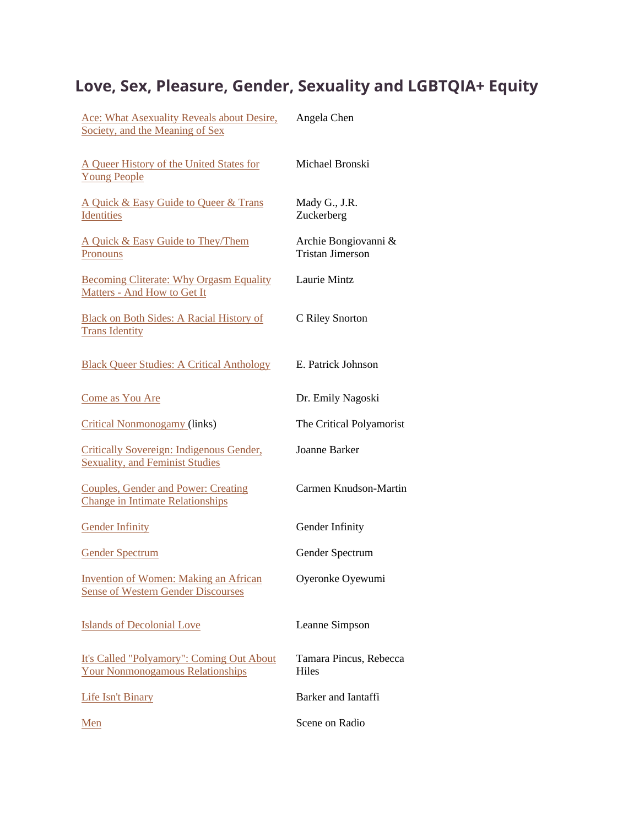## **Love, Sex, Pleasure, Gender, Sexuality and LGBTQIA+ Equity**

| Ace: What Asexuality Reveals about Desire,<br>Society, and the Meaning of Sex             | Angela Chen                                     |
|-------------------------------------------------------------------------------------------|-------------------------------------------------|
| A Queer History of the United States for<br><b>Young People</b>                           | Michael Bronski                                 |
| A Quick & Easy Guide to Queer & Trans<br>Identities                                       | Mady G., J.R.<br>Zuckerberg                     |
| A Quick & Easy Guide to They/Them<br>Pronouns                                             | Archie Bongiovanni &<br><b>Tristan Jimerson</b> |
| <b>Becoming Cliterate: Why Orgasm Equality</b><br>Matters - And How to Get It             | Laurie Mintz                                    |
| <b>Black on Both Sides: A Racial History of</b><br><b>Trans Identity</b>                  | C Riley Snorton                                 |
| <b>Black Queer Studies: A Critical Anthology</b>                                          | E. Patrick Johnson                              |
| Come as You Are                                                                           | Dr. Emily Nagoski                               |
| <b>Critical Nonmonogamy (links)</b>                                                       | The Critical Polyamorist                        |
| Critically Sovereign: Indigenous Gender,<br><b>Sexuality, and Feminist Studies</b>        | <b>Joanne Barker</b>                            |
| <b>Couples, Gender and Power: Creating</b><br><b>Change in Intimate Relationships</b>     | Carmen Knudson-Martin                           |
| <b>Gender Infinity</b>                                                                    | Gender Infinity                                 |
| <b>Gender Spectrum</b>                                                                    | Gender Spectrum                                 |
| <b>Invention of Women: Making an African</b><br><b>Sense of Western Gender Discourses</b> | Oyeronke Oyewumi                                |
| <b>Islands of Decolonial Love</b>                                                         | Leanne Simpson                                  |
| It's Called "Polyamory": Coming Out About<br><b>Your Nonmonogamous Relationships</b>      | Tamara Pincus, Rebecca<br><b>Hiles</b>          |
| <b>Life Isn't Binary</b>                                                                  | Barker and Iantaffi                             |
| Men                                                                                       | Scene on Radio                                  |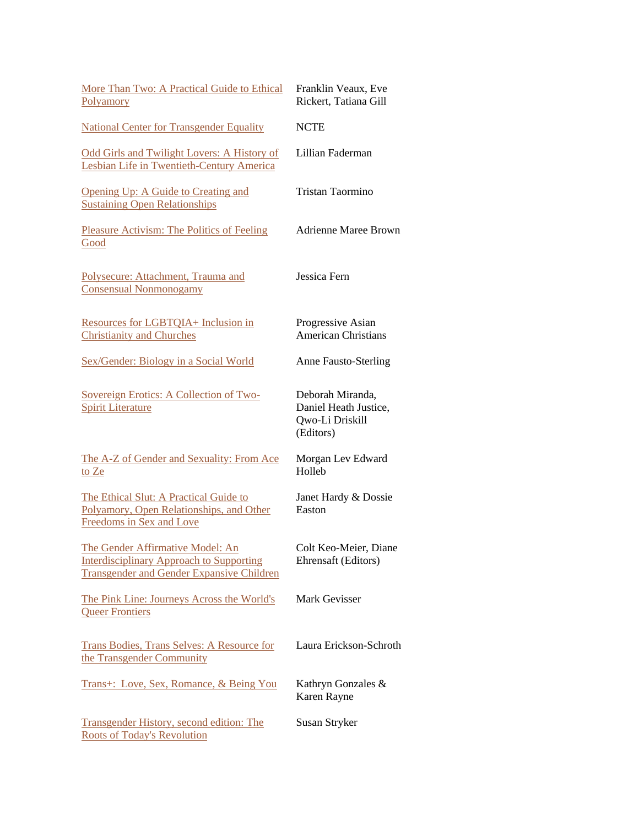| More Than Two: A Practical Guide to Ethical<br>Polyamory                                                                                | Franklin Veaux, Eve<br>Rickert, Tatiana Gill                              |
|-----------------------------------------------------------------------------------------------------------------------------------------|---------------------------------------------------------------------------|
| <b>National Center for Transgender Equality</b>                                                                                         | <b>NCTE</b>                                                               |
| Odd Girls and Twilight Lovers: A History of<br>Lesbian Life in Twentieth-Century America                                                | Lillian Faderman                                                          |
| Opening Up: A Guide to Creating and<br><b>Sustaining Open Relationships</b>                                                             | Tristan Taormino                                                          |
| <b>Pleasure Activism: The Politics of Feeling</b><br>Good                                                                               | <b>Adrienne Maree Brown</b>                                               |
| Polysecure: Attachment, Trauma and<br><b>Consensual Nonmonogamy</b>                                                                     | Jessica Fern                                                              |
| Resources for LGBTQIA+ Inclusion in<br><b>Christianity and Churches</b>                                                                 | Progressive Asian<br><b>American Christians</b>                           |
| Sex/Gender: Biology in a Social World                                                                                                   | <b>Anne Fausto-Sterling</b>                                               |
| Sovereign Erotics: A Collection of Two-<br><b>Spirit Literature</b>                                                                     | Deborah Miranda,<br>Daniel Heath Justice,<br>Qwo-Li Driskill<br>(Editors) |
| The A-Z of Gender and Sexuality: From Ace<br>to Ze                                                                                      | Morgan Lev Edward<br>Holleb                                               |
| The Ethical Slut: A Practical Guide to<br>Polyamory, Open Relationships, and Other<br>Freedoms in Sex and Love                          | Janet Hardy & Dossie<br>Easton                                            |
| The Gender Affirmative Model: An<br><b>Interdisciplinary Approach to Supporting</b><br><b>Transgender and Gender Expansive Children</b> | Colt Keo-Meier, Diane<br>Ehrensaft (Editors)                              |
| The Pink Line: Journeys Across the World's<br><b>Queer Frontiers</b>                                                                    | Mark Gevisser                                                             |
| <b>Trans Bodies, Trans Selves: A Resource for</b><br>the Transgender Community                                                          | Laura Erickson-Schroth                                                    |
| Trans+: Love, Sex, Romance, & Being You                                                                                                 | Kathryn Gonzales &<br>Karen Rayne                                         |
| <b>Transgender History, second edition: The</b><br><b>Roots of Today's Revolution</b>                                                   | Susan Stryker                                                             |